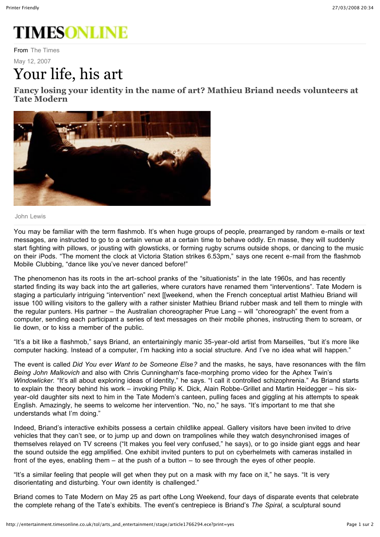## **TIMESONLINE**

From The Times

May 12, 2007

## Your life, his art

**Fancy losing your identity in the name of art? Mathieu Briand needs volunteers at Tate Modern**



John Lewis

You may be familiar with the term flashmob. It's when huge groups of people, prearranged by random e-mails or text messages, are instructed to go to a certain venue at a certain time to behave oddly. En masse, they will suddenly start fighting with pillows, or jousting with glowsticks, or forming rugby scrums outside shops, or dancing to the music on their iPods. "The moment the clock at Victoria Station strikes 6.53pm," says one recent e-mail from the flashmob Mobile Clubbing, "dance like you've never danced before!"

The phenomenon has its roots in the art-school pranks of the "situationists" in the late 1960s, and has recently started finding its way back into the art galleries, where curators have renamed them "interventions". Tate Modern is staging a particularly intriguing "intervention" next [[weekend, when the French conceptual artist Mathieu Briand will issue 100 willing visitors to the gallery with a rather sinister Mathieu Briand rubber mask and tell them to mingle with the regular punters. His partner – the Australian choreographer Prue Lang – will "choreograph" the event from a computer, sending each participant a series of text messages on their mobile phones, instructing them to scream, or lie down, or to kiss a member of the public.

"It's a bit like a flashmob," says Briand, an entertainingly manic 35-year-old artist from Marseilles, "but it's more like computer hacking. Instead of a computer, I'm hacking into a social structure. And I've no idea what will happen."

The event is called *Did You ever Want to be Someone Else?* and the masks, he says, have resonances with the film *Being John Malkovich* and also with Chris Cunningham's face-morphing promo video for the Aphex Twin's *Windowlicker.* "It's all about exploring ideas of identity," he says. "I call it controlled schizophrenia." As Briand starts to explain the theory behind his work – invoking Philip K. Dick, Alain Robbe-Grillet and Martin Heidegger – his sixyear-old daughter sits next to him in the Tate Modern's canteen, pulling faces and giggling at his attempts to speak English. Amazingly, he seems to welcome her intervention. "No, no," he says. "It's important to me that she understands what I'm doing."

Indeed, Briand's interactive exhibits possess a certain childlike appeal. Gallery visitors have been invited to drive vehicles that they can't see, or to jump up and down on trampolines while they watch desynchronised images of themselves relayed on TV screens ("It makes you feel very confused," he says), or to go inside giant eggs and hear the sound outside the egg amplified. One exhibit invited punters to put on cyberhelmets with cameras installed in front of the eyes, enabling them – at the push of a button – to see through the eyes of other people.

"It's a similar feeling that people will get when they put on a mask with my face on it," he says. "It is very disorientating and disturbing. Your own identity is challenged."

Briand comes to Tate Modern on May 25 as part ofthe Long Weekend, four days of disparate events that celebrate the complete rehang of the Tate's exhibits. The event's centrepiece is Briand's *The Spiral,* a sculptural sound